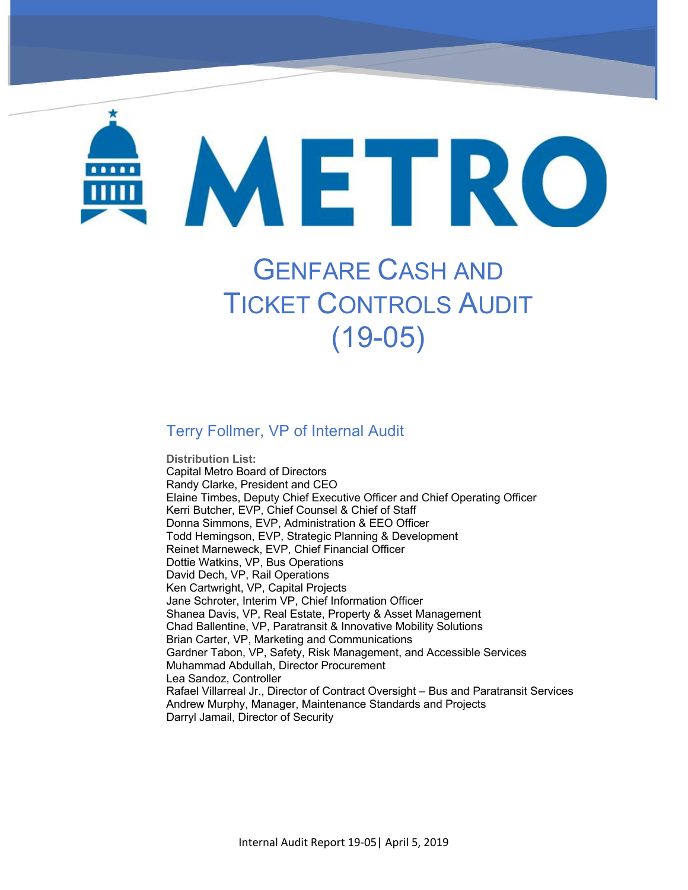# METRO

# GENFARE CASH AND TICKET CONTROLS AUDIT (19-05)

#### Terry Follmer, VP of Internal Audit

DMU Maintenance Program – Oversight of Herzog (19-01)

**Distribution List:**  Capital Metro Board of Directors Randy Clarke, President and CEO Elaine Timbes, Deputy Chief Executive Officer and Chief Operating Officer Kerri Butcher, EVP, Chief Counsel & Chief of Staff Donna Simmons, EVP, Administration & EEO Officer Todd Hemingson, EVP, Strategic Planning & Development Reinet Marneweck, EVP, Chief Financial Officer Dottie Watkins, VP, Bus Operations David Dech, VP, Rail Operations Ken Cartwright, VP, Capital Projects Jane Schroter, Interim VP, Chief Information Officer Shanea Davis, VP, Real Estate, Property & Asset Management Chad Ballentine, VP, Paratransit & Innovative Mobility Solutions Brian Carter, VP, Marketing and Communications Gardner Tabon, VP, Safety, Risk Management, and Accessible Services Muhammad Abdullah, Director Procurement Lea Sandoz, Controller Rafael Villarreal Jr., Director of Contract Oversight – Bus and Paratransit Services Andrew Murphy, Manager, Maintenance Standards and Projects Darryl Jamail, Director of Security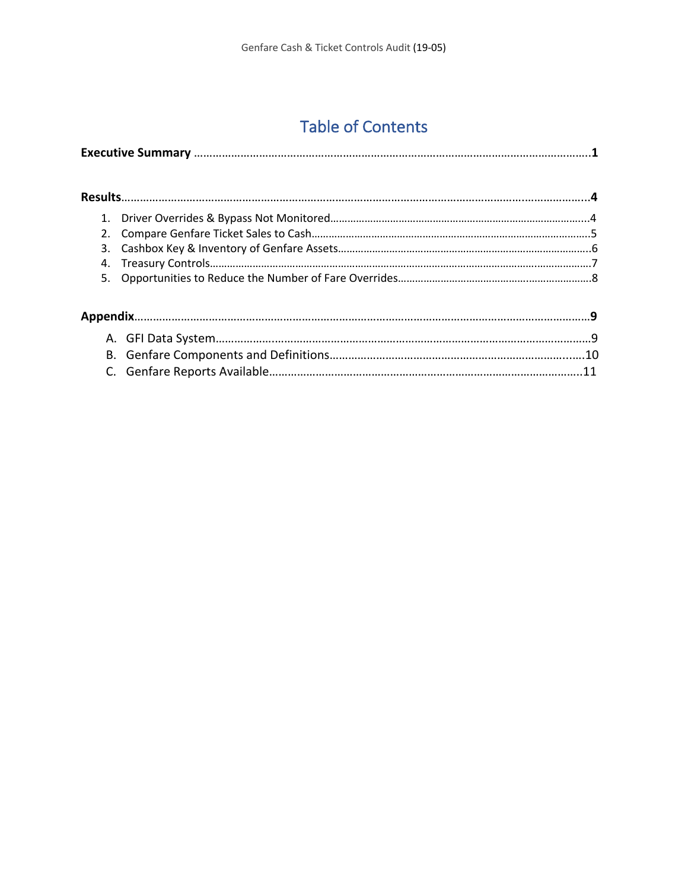## Table of Contents

| 1. |  |
|----|--|
| 2. |  |
| 3. |  |
| 4. |  |
| 5. |  |
|    |  |
|    |  |
|    |  |
|    |  |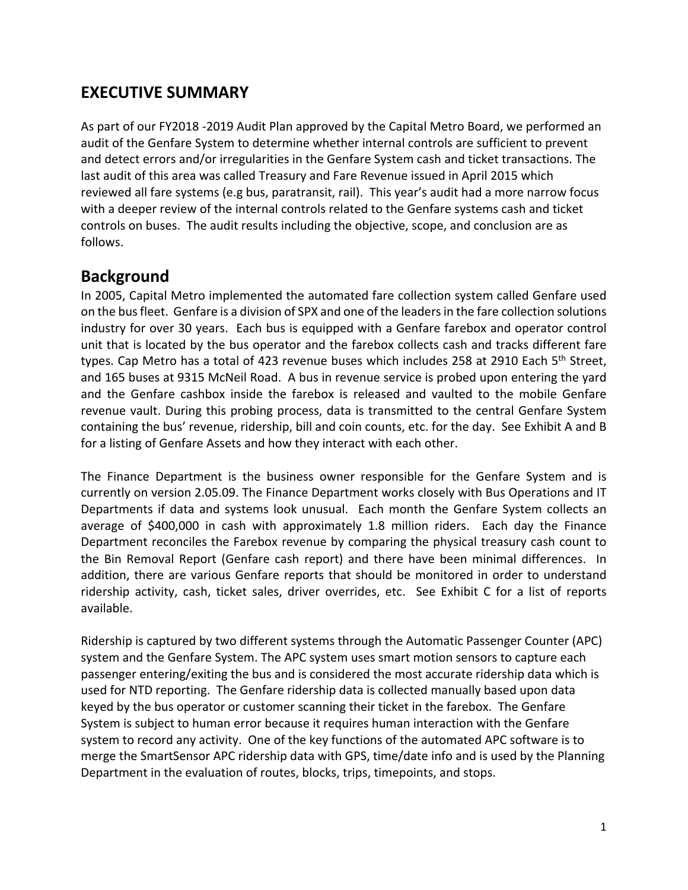#### **EXECUTIVE SUMMARY**

As part of our FY2018 -2019 Audit Plan approved by the Capital Metro Board, we performed an audit of the Genfare System to determine whether internal controls are sufficient to prevent and detect errors and/or irregularities in the Genfare System cash and ticket transactions. The last audit of this area was called Treasury and Fare Revenue issued in April 2015 which reviewed all fare systems (e.g bus, paratransit, rail). This year's audit had a more narrow focus with a deeper review of the internal controls related to the Genfare systems cash and ticket controls on buses. The audit results including the objective, scope, and conclusion are as follows.

#### **Background**

In 2005, Capital Metro implemented the automated fare collection system called Genfare used on the bus fleet. Genfare is a division of SPX and one of the leaders in the fare collection solutions industry for over 30 years. Each bus is equipped with a Genfare farebox and operator control unit that is located by the bus operator and the farebox collects cash and tracks different fare types. Cap Metro has a total of 423 revenue buses which includes 258 at 2910 Each 5<sup>th</sup> Street, and 165 buses at 9315 McNeil Road. A bus in revenue service is probed upon entering the yard and the Genfare cashbox inside the farebox is released and vaulted to the mobile Genfare revenue vault. During this probing process, data is transmitted to the central Genfare System containing the bus' revenue, ridership, bill and coin counts, etc. for the day. See Exhibit A and B for a listing of Genfare Assets and how they interact with each other.

The Finance Department is the business owner responsible for the Genfare System and is currently on version 2.05.09. The Finance Department works closely with Bus Operations and IT Departments if data and systems look unusual. Each month the Genfare System collects an average of \$400,000 in cash with approximately 1.8 million riders. Each day the Finance Department reconciles the Farebox revenue by comparing the physical treasury cash count to the Bin Removal Report (Genfare cash report) and there have been minimal differences. In addition, there are various Genfare reports that should be monitored in order to understand ridership activity, cash, ticket sales, driver overrides, etc. See Exhibit C for a list of reports available.

Ridership is captured by two different systems through the Automatic Passenger Counter (APC) system and the Genfare System. The APC system uses smart motion sensors to capture each passenger entering/exiting the bus and is considered the most accurate ridership data which is used for NTD reporting. The Genfare ridership data is collected manually based upon data keyed by the bus operator or customer scanning their ticket in the farebox. The Genfare System is subject to human error because it requires human interaction with the Genfare system to record any activity. One of the key functions of the automated APC software is to merge the SmartSensor APC ridership data with GPS, time/date info and is used by the Planning Department in the evaluation of routes, blocks, trips, timepoints, and stops.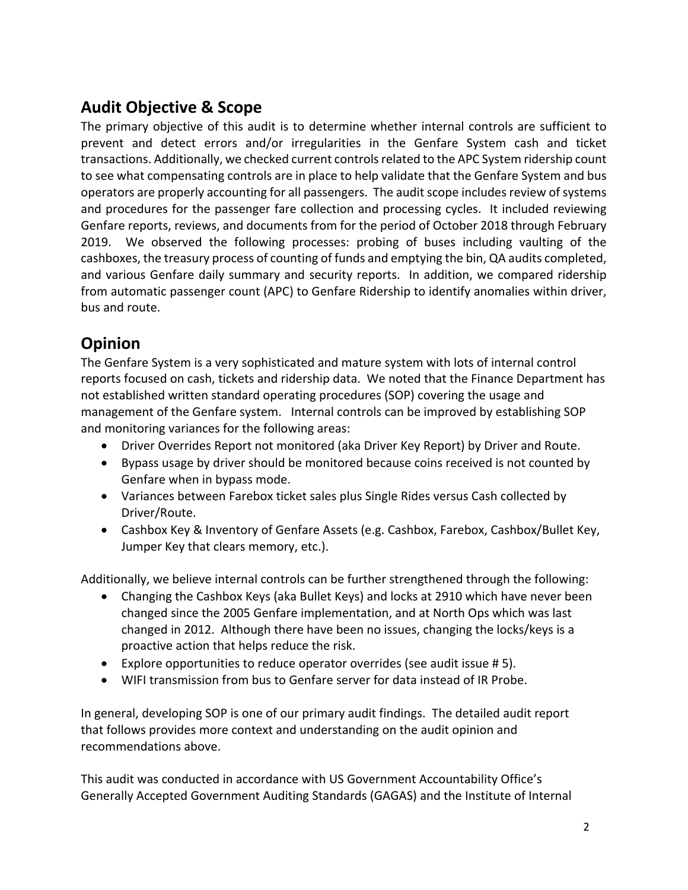#### **Audit Objective & Scope**

The primary objective of this audit is to determine whether internal controls are sufficient to prevent and detect errors and/or irregularities in the Genfare System cash and ticket transactions. Additionally, we checked current controls related to the APC System ridership count to see what compensating controls are in place to help validate that the Genfare System and bus operators are properly accounting for all passengers. The audit scope includes review of systems and procedures for the passenger fare collection and processing cycles. It included reviewing Genfare reports, reviews, and documents from for the period of October 2018 through February 2019. We observed the following processes: probing of buses including vaulting of the cashboxes, the treasury process of counting of funds and emptying the bin, QA audits completed, and various Genfare daily summary and security reports. In addition, we compared ridership from automatic passenger count (APC) to Genfare Ridership to identify anomalies within driver, bus and route.

#### **Opinion**

The Genfare System is a very sophisticated and mature system with lots of internal control reports focused on cash, tickets and ridership data. We noted that the Finance Department has not established written standard operating procedures (SOP) covering the usage and management of the Genfare system. Internal controls can be improved by establishing SOP and monitoring variances for the following areas:

- Driver Overrides Report not monitored (aka Driver Key Report) by Driver and Route.
- Bypass usage by driver should be monitored because coins received is not counted by Genfare when in bypass mode.
- Variances between Farebox ticket sales plus Single Rides versus Cash collected by Driver/Route.
- Cashbox Key & Inventory of Genfare Assets (e.g. Cashbox, Farebox, Cashbox/Bullet Key, Jumper Key that clears memory, etc.).

Additionally, we believe internal controls can be further strengthened through the following:

- Changing the Cashbox Keys (aka Bullet Keys) and locks at 2910 which have never been changed since the 2005 Genfare implementation, and at North Ops which was last changed in 2012. Although there have been no issues, changing the locks/keys is a proactive action that helps reduce the risk.
- Explore opportunities to reduce operator overrides (see audit issue # 5).
- WIFI transmission from bus to Genfare server for data instead of IR Probe.

In general, developing SOP is one of our primary audit findings. The detailed audit report that follows provides more context and understanding on the audit opinion and recommendations above.

This audit was conducted in accordance with US Government Accountability Office's Generally Accepted Government Auditing Standards (GAGAS) and the Institute of Internal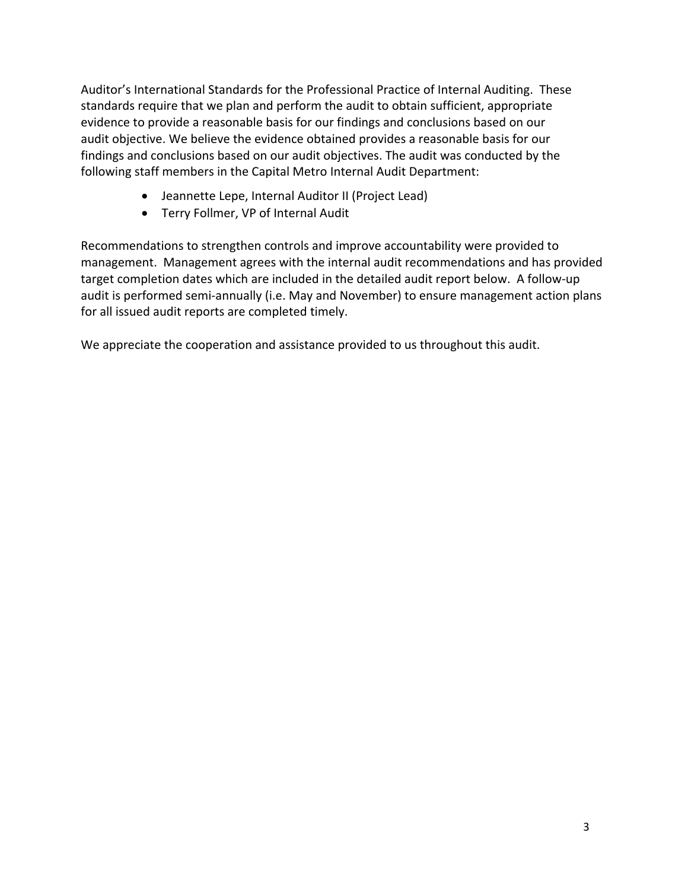Auditor's International Standards for the Professional Practice of Internal Auditing. These standards require that we plan and perform the audit to obtain sufficient, appropriate evidence to provide a reasonable basis for our findings and conclusions based on our audit objective. We believe the evidence obtained provides a reasonable basis for our findings and conclusions based on our audit objectives. The audit was conducted by the following staff members in the Capital Metro Internal Audit Department:

- Jeannette Lepe, Internal Auditor II (Project Lead)
- Terry Follmer, VP of Internal Audit

Recommendations to strengthen controls and improve accountability were provided to management. Management agrees with the internal audit recommendations and has provided target completion dates which are included in the detailed audit report below. A follow-up audit is performed semi-annually (i.e. May and November) to ensure management action plans for all issued audit reports are completed timely.

We appreciate the cooperation and assistance provided to us throughout this audit.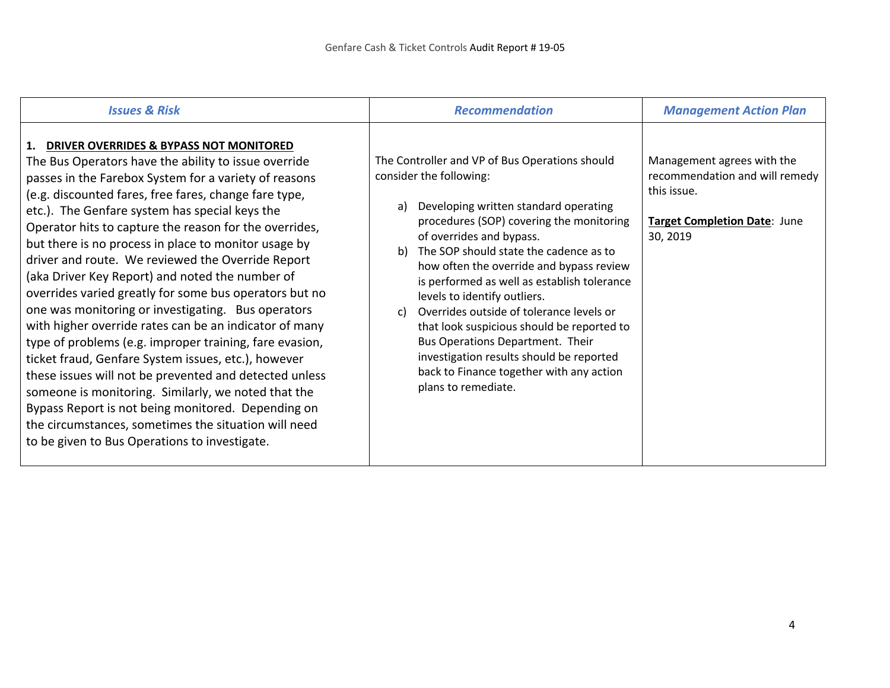| <b>Issues &amp; Risk</b>                                                                                                                                                                                                                                                                                                                                                                                                                                                                                                                                                                                                                                                                                                                                                                                                                                                                                                                                                                                                                                                     | <b>Recommendation</b>                                                                                                                                                                                                                                                                                                                                                                                                                                                                                                                                                                                                                     | <b>Management Action Plan</b>                                                                                           |
|------------------------------------------------------------------------------------------------------------------------------------------------------------------------------------------------------------------------------------------------------------------------------------------------------------------------------------------------------------------------------------------------------------------------------------------------------------------------------------------------------------------------------------------------------------------------------------------------------------------------------------------------------------------------------------------------------------------------------------------------------------------------------------------------------------------------------------------------------------------------------------------------------------------------------------------------------------------------------------------------------------------------------------------------------------------------------|-------------------------------------------------------------------------------------------------------------------------------------------------------------------------------------------------------------------------------------------------------------------------------------------------------------------------------------------------------------------------------------------------------------------------------------------------------------------------------------------------------------------------------------------------------------------------------------------------------------------------------------------|-------------------------------------------------------------------------------------------------------------------------|
| 1. DRIVER OVERRIDES & BYPASS NOT MONITORED<br>The Bus Operators have the ability to issue override<br>passes in the Farebox System for a variety of reasons<br>(e.g. discounted fares, free fares, change fare type,<br>etc.). The Genfare system has special keys the<br>Operator hits to capture the reason for the overrides,<br>but there is no process in place to monitor usage by<br>driver and route. We reviewed the Override Report<br>(aka Driver Key Report) and noted the number of<br>overrides varied greatly for some bus operators but no<br>one was monitoring or investigating. Bus operators<br>with higher override rates can be an indicator of many<br>type of problems (e.g. improper training, fare evasion,<br>ticket fraud, Genfare System issues, etc.), however<br>these issues will not be prevented and detected unless<br>someone is monitoring. Similarly, we noted that the<br>Bypass Report is not being monitored. Depending on<br>the circumstances, sometimes the situation will need<br>to be given to Bus Operations to investigate. | The Controller and VP of Bus Operations should<br>consider the following:<br>Developing written standard operating<br>a)<br>procedures (SOP) covering the monitoring<br>of overrides and bypass.<br>The SOP should state the cadence as to<br>b)<br>how often the override and bypass review<br>is performed as well as establish tolerance<br>levels to identify outliers.<br>Overrides outside of tolerance levels or<br>$\mathcal{C}$<br>that look suspicious should be reported to<br>Bus Operations Department. Their<br>investigation results should be reported<br>back to Finance together with any action<br>plans to remediate. | Management agrees with the<br>recommendation and will remedy<br>this issue.<br>Target Completion Date: June<br>30, 2019 |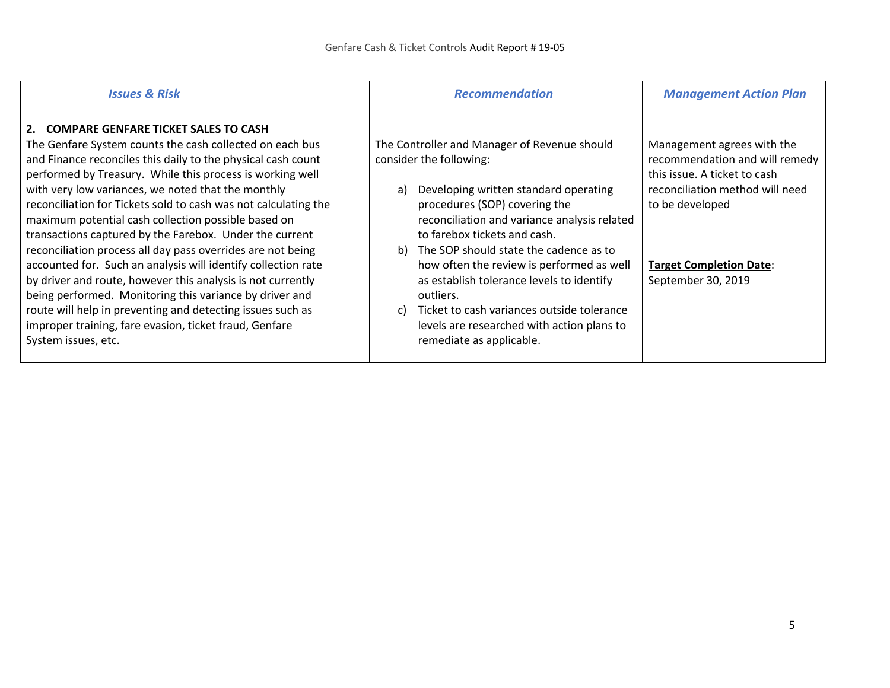| <b>Issues &amp; Risk</b>                                                                                                                                                                                                                                                                                                                                                                                                                                                                                                                                                                                                                                                                                                                                                                                                                                                             | <b>Recommendation</b>                                                                                                                                                                                                                                                                                                                                                                                                                                                                                                       | <b>Management Action Plan</b>                                                                                                                                                                              |
|--------------------------------------------------------------------------------------------------------------------------------------------------------------------------------------------------------------------------------------------------------------------------------------------------------------------------------------------------------------------------------------------------------------------------------------------------------------------------------------------------------------------------------------------------------------------------------------------------------------------------------------------------------------------------------------------------------------------------------------------------------------------------------------------------------------------------------------------------------------------------------------|-----------------------------------------------------------------------------------------------------------------------------------------------------------------------------------------------------------------------------------------------------------------------------------------------------------------------------------------------------------------------------------------------------------------------------------------------------------------------------------------------------------------------------|------------------------------------------------------------------------------------------------------------------------------------------------------------------------------------------------------------|
| 2. COMPARE GENFARE TICKET SALES TO CASH<br>The Genfare System counts the cash collected on each bus<br>and Finance reconciles this daily to the physical cash count<br>performed by Treasury. While this process is working well<br>with very low variances, we noted that the monthly<br>reconciliation for Tickets sold to cash was not calculating the<br>maximum potential cash collection possible based on<br>transactions captured by the Farebox. Under the current<br>reconciliation process all day pass overrides are not being<br>accounted for. Such an analysis will identify collection rate<br>by driver and route, however this analysis is not currently<br>being performed. Monitoring this variance by driver and<br>route will help in preventing and detecting issues such as<br>improper training, fare evasion, ticket fraud, Genfare<br>System issues, etc. | The Controller and Manager of Revenue should<br>consider the following:<br>Developing written standard operating<br>a)<br>procedures (SOP) covering the<br>reconciliation and variance analysis related<br>to farebox tickets and cash.<br>The SOP should state the cadence as to<br>b<br>how often the review is performed as well<br>as establish tolerance levels to identify<br>outliers.<br>Ticket to cash variances outside tolerance<br>C)<br>levels are researched with action plans to<br>remediate as applicable. | Management agrees with the<br>recommendation and will remedy<br>this issue. A ticket to cash<br>reconciliation method will need<br>to be developed<br><b>Target Completion Date:</b><br>September 30, 2019 |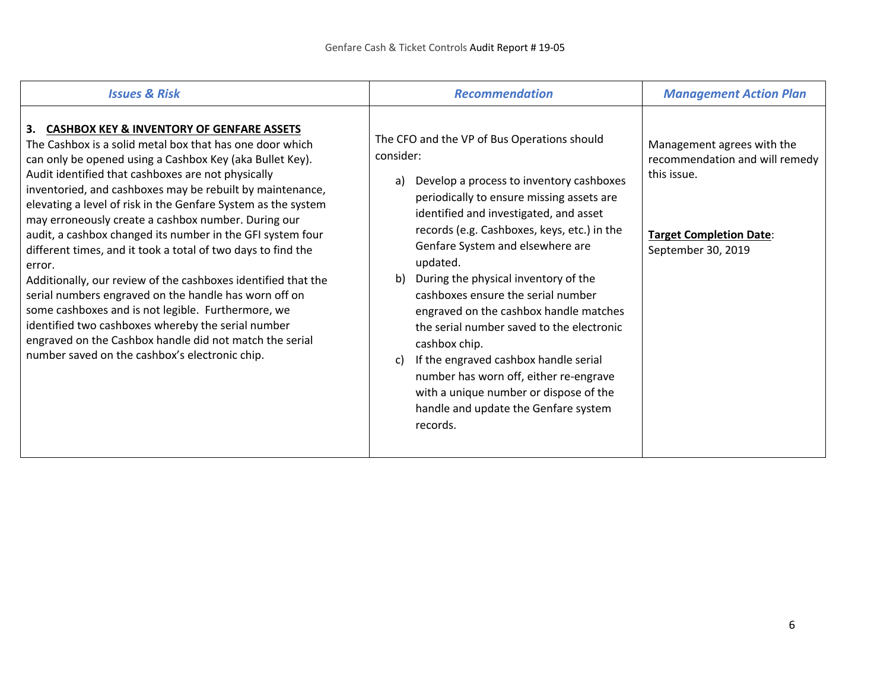| <b>Issues &amp; Risk</b>                                                                                                                                                                                                                                                                                                                                                                                                                                                                                                                                                                                                                                                                                                                                                                                                                                                                                   | <b>Recommendation</b>                                                                                                                                                                                                                                                                                                                                                                                                                                                                                                                                                                                                                                                               | <b>Management Action Plan</b>                                                                                                       |
|------------------------------------------------------------------------------------------------------------------------------------------------------------------------------------------------------------------------------------------------------------------------------------------------------------------------------------------------------------------------------------------------------------------------------------------------------------------------------------------------------------------------------------------------------------------------------------------------------------------------------------------------------------------------------------------------------------------------------------------------------------------------------------------------------------------------------------------------------------------------------------------------------------|-------------------------------------------------------------------------------------------------------------------------------------------------------------------------------------------------------------------------------------------------------------------------------------------------------------------------------------------------------------------------------------------------------------------------------------------------------------------------------------------------------------------------------------------------------------------------------------------------------------------------------------------------------------------------------------|-------------------------------------------------------------------------------------------------------------------------------------|
| 3. CASHBOX KEY & INVENTORY OF GENFARE ASSETS<br>The Cashbox is a solid metal box that has one door which<br>can only be opened using a Cashbox Key (aka Bullet Key).<br>Audit identified that cashboxes are not physically<br>inventoried, and cashboxes may be rebuilt by maintenance,<br>elevating a level of risk in the Genfare System as the system<br>may erroneously create a cashbox number. During our<br>audit, a cashbox changed its number in the GFI system four<br>different times, and it took a total of two days to find the<br>error.<br>Additionally, our review of the cashboxes identified that the<br>serial numbers engraved on the handle has worn off on<br>some cashboxes and is not legible. Furthermore, we<br>identified two cashboxes whereby the serial number<br>engraved on the Cashbox handle did not match the serial<br>number saved on the cashbox's electronic chip. | The CFO and the VP of Bus Operations should<br>consider:<br>Develop a process to inventory cashboxes<br>a)<br>periodically to ensure missing assets are<br>identified and investigated, and asset<br>records (e.g. Cashboxes, keys, etc.) in the<br>Genfare System and elsewhere are<br>updated.<br>During the physical inventory of the<br>b)<br>cashboxes ensure the serial number<br>engraved on the cashbox handle matches<br>the serial number saved to the electronic<br>cashbox chip.<br>If the engraved cashbox handle serial<br>c)<br>number has worn off, either re-engrave<br>with a unique number or dispose of the<br>handle and update the Genfare system<br>records. | Management agrees with the<br>recommendation and will remedy<br>this issue.<br><b>Target Completion Date:</b><br>September 30, 2019 |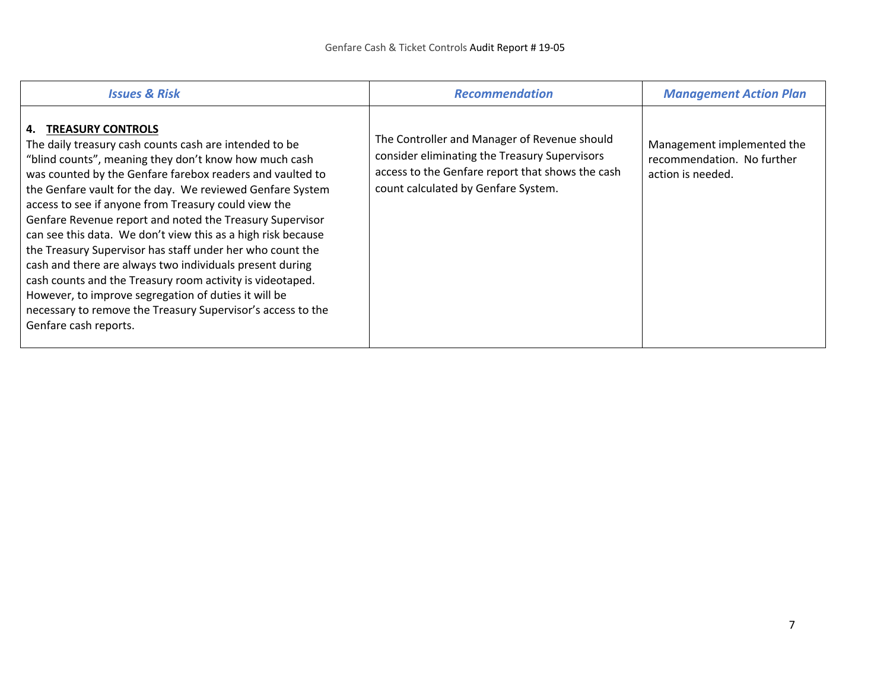| <b>Issues &amp; Risk</b>                                                                                                                                                                                                                                                                                                                                                                                                                                                                                                                                                                                                                                                                                                                                                                    | <b>Recommendation</b>                                                                                                                                                                    | <b>Management Action Plan</b>                                                 |
|---------------------------------------------------------------------------------------------------------------------------------------------------------------------------------------------------------------------------------------------------------------------------------------------------------------------------------------------------------------------------------------------------------------------------------------------------------------------------------------------------------------------------------------------------------------------------------------------------------------------------------------------------------------------------------------------------------------------------------------------------------------------------------------------|------------------------------------------------------------------------------------------------------------------------------------------------------------------------------------------|-------------------------------------------------------------------------------|
| 4. TREASURY CONTROLS<br>The daily treasury cash counts cash are intended to be<br>"blind counts", meaning they don't know how much cash<br>was counted by the Genfare farebox readers and vaulted to<br>the Genfare vault for the day. We reviewed Genfare System<br>access to see if anyone from Treasury could view the<br>Genfare Revenue report and noted the Treasury Supervisor<br>can see this data. We don't view this as a high risk because<br>the Treasury Supervisor has staff under her who count the<br>cash and there are always two individuals present during<br>cash counts and the Treasury room activity is videotaped.<br>However, to improve segregation of duties it will be<br>necessary to remove the Treasury Supervisor's access to the<br>Genfare cash reports. | The Controller and Manager of Revenue should<br>consider eliminating the Treasury Supervisors<br>access to the Genfare report that shows the cash<br>count calculated by Genfare System. | Management implemented the<br>recommendation. No further<br>action is needed. |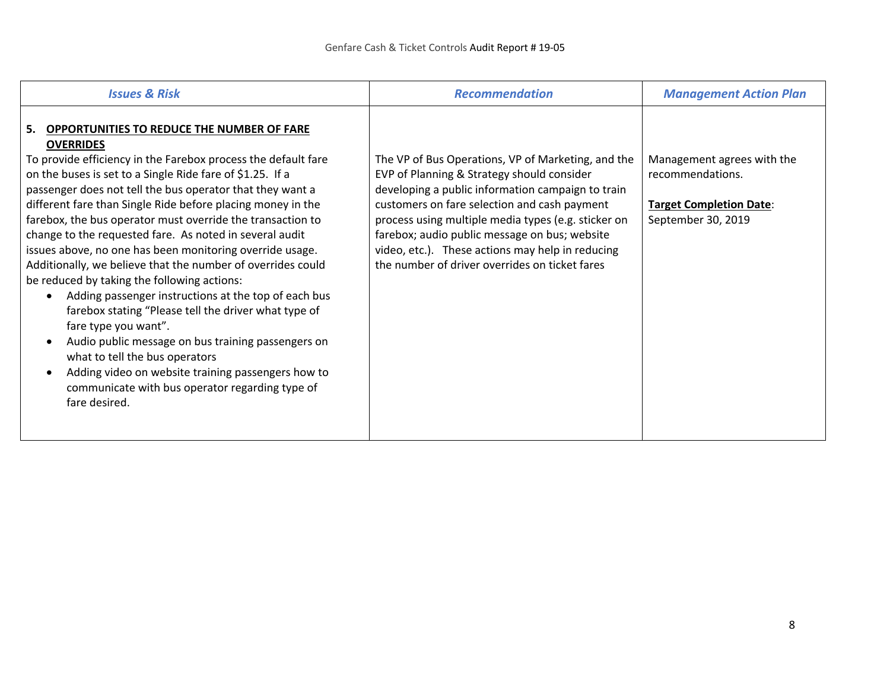| <b>Issues &amp; Risk</b>                                                                                                                                                                                                                                                                                                                                                                                                                                                                                                                                                                                                                                                                                                                                                                                                                                                                                                                                                                                              | <b>Recommendation</b>                                                                                                                                                                                                                                                                                                                                                                                               | <b>Management Action Plan</b>                                                                          |
|-----------------------------------------------------------------------------------------------------------------------------------------------------------------------------------------------------------------------------------------------------------------------------------------------------------------------------------------------------------------------------------------------------------------------------------------------------------------------------------------------------------------------------------------------------------------------------------------------------------------------------------------------------------------------------------------------------------------------------------------------------------------------------------------------------------------------------------------------------------------------------------------------------------------------------------------------------------------------------------------------------------------------|---------------------------------------------------------------------------------------------------------------------------------------------------------------------------------------------------------------------------------------------------------------------------------------------------------------------------------------------------------------------------------------------------------------------|--------------------------------------------------------------------------------------------------------|
| OPPORTUNITIES TO REDUCE THE NUMBER OF FARE<br>5.<br><b>OVERRIDES</b><br>To provide efficiency in the Farebox process the default fare<br>on the buses is set to a Single Ride fare of \$1.25. If a<br>passenger does not tell the bus operator that they want a<br>different fare than Single Ride before placing money in the<br>farebox, the bus operator must override the transaction to<br>change to the requested fare. As noted in several audit<br>issues above, no one has been monitoring override usage.<br>Additionally, we believe that the number of overrides could<br>be reduced by taking the following actions:<br>Adding passenger instructions at the top of each bus<br>$\bullet$<br>farebox stating "Please tell the driver what type of<br>fare type you want".<br>Audio public message on bus training passengers on<br>what to tell the bus operators<br>Adding video on website training passengers how to<br>$\bullet$<br>communicate with bus operator regarding type of<br>fare desired. | The VP of Bus Operations, VP of Marketing, and the<br>EVP of Planning & Strategy should consider<br>developing a public information campaign to train<br>customers on fare selection and cash payment<br>process using multiple media types (e.g. sticker on<br>farebox; audio public message on bus; website<br>video, etc.). These actions may help in reducing<br>the number of driver overrides on ticket fares | Management agrees with the<br>recommendations.<br><b>Target Completion Date:</b><br>September 30, 2019 |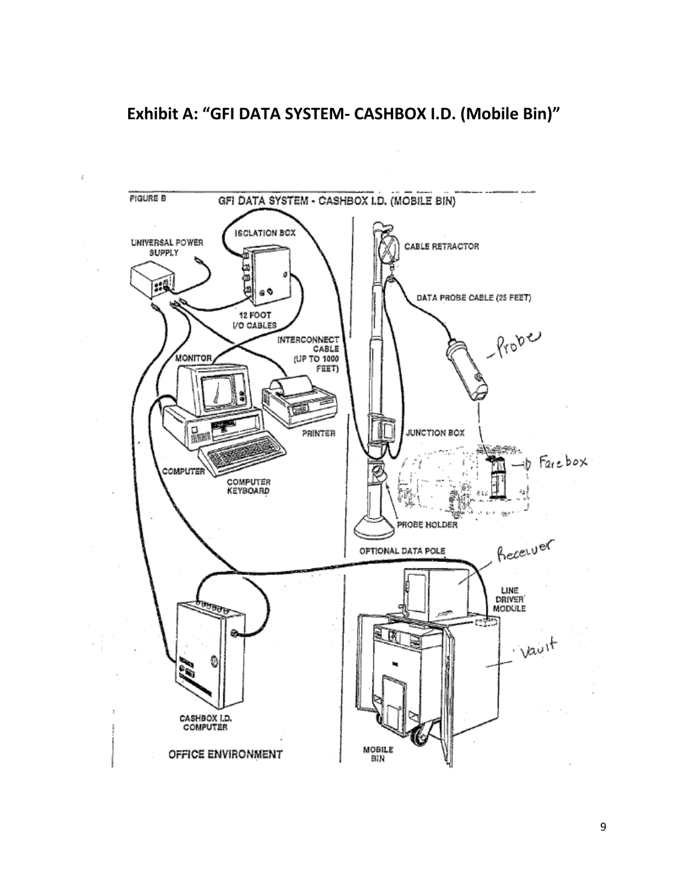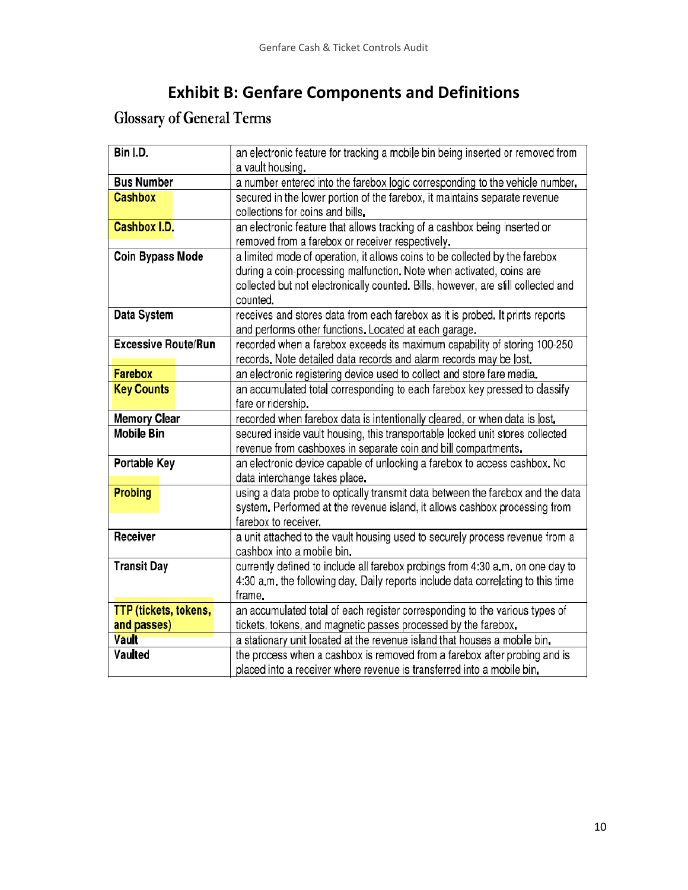## **Exhibit B: Genfare Components and Definitions**

# Glossary of General Terms

| Bin I.D.                   | an electronic feature for tracking a mobile bin being inserted or removed from    |
|----------------------------|-----------------------------------------------------------------------------------|
|                            | a vault housing.                                                                  |
| <b>Bus Number</b>          | a number entered into the farebox logic corresponding to the vehicle number.      |
| <b>Cashbox</b>             | secured in the lower portion of the farebox, it maintains separate revenue        |
|                            | collections for coins and bills.                                                  |
| <b>Cashbox I.D.</b>        | an electronic feature that allows tracking of a cashbox being inserted or         |
|                            | removed from a farebox or receiver respectively.                                  |
| Coin Bypass Mode           | a limited mode of operation, it allows coins to be collected by the farebox       |
|                            | during a coin-processing malfunction. Note when activated, coins are              |
|                            | collected but not electronically counted. Bills, however, are still collected and |
|                            | counted.                                                                          |
| Data System                | receives and stores data from each farebox as it is probed. It prints reports     |
|                            | and performs other functions. Located at each garage.                             |
| <b>Excessive Route/Run</b> | recorded when a farebox exceeds its maximum capability of storing 100-250         |
|                            | records. Note detailed data records and alarm records may be lost.                |
| <b>Farebox</b>             | an electronic registering device used to collect and store fare media.            |
| <b>Key Counts</b>          | an accumulated total corresponding to each farebox key pressed to classify        |
|                            | fare or ridership.                                                                |
| <b>Memory Clear</b>        | recorded when farebox data is intentionally cleared, or when data is lost.        |
| Mobile Bin                 | secured inside vault housing, this transportable locked unit stores collected     |
|                            | revenue from cashboxes in separate coin and bill compartments.                    |
| Portable Key               | an electronic device capable of unlocking a farebox to access cashbox. No         |
|                            | data interchange takes place.                                                     |
| <b>Probing</b>             | using a data probe to optically transmit data between the farebox and the data    |
|                            | system. Performed at the revenue island, it allows cashbox processing from        |
|                            | farebox to receiver.                                                              |
| Receiver                   | a unit attached to the vault housing used to securely process revenue from a      |
|                            | cashbox into a mobile bin.                                                        |
| <b>Transit Day</b>         | currently defined to include all farebox probings from 4:30 a.m. on one day to    |
|                            | 4:30 a.m. the following day. Daily reports include data correlating to this time  |
|                            | frame.                                                                            |
| TTP (tickets, tokens,      | an accumulated total of each register corresponding to the various types of       |
| and passes)                | tickets, tokens, and magnetic passes processed by the farebox.                    |
| Vault                      | a stationary unit located at the revenue island that houses a mobile bin.         |
| Vaulted                    | the process when a cashbox is removed from a farebox after probing and is         |
|                            | placed into a receiver where revenue is transferred into a mobile bin.            |